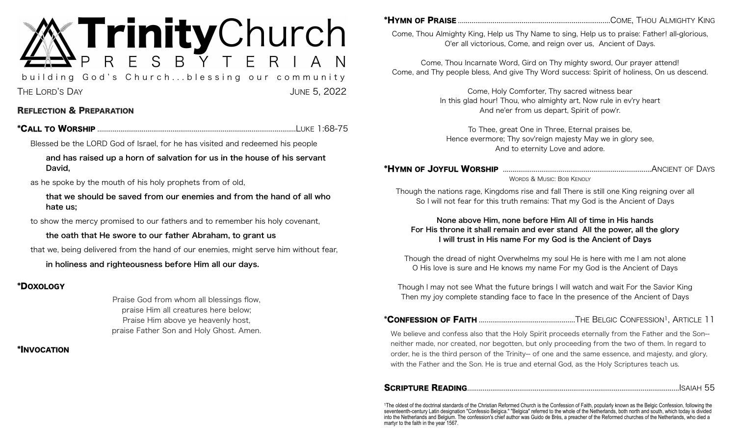### TrinityChurch  $\mathsf{F}$  $\mathcal{S}$ R

building God's Church...blessing our community THE LORD'S DAY **SALL ASSESSED ASSESSED A** UNIT ON THE 5, 2022

#### REFLECTION & PREPARATION

\*CALL TO WORSHIP L ....................................................................................................... UKE 1:68-75

Blessed be the LORD God of Israel, for he has visited and redeemed his people

and has raised up a horn of salvation for us in the house of his servant David,

as he spoke by the mouth of his holy prophets from of old,

that we should be saved from our enemies and from the hand of all who hate us;

to show the mercy promised to our fathers and to remember his holy covenant,

the oath that He swore to our father Abraham, to grant us

that we, being delivered from the hand of our enemies, might serve him without fear,

in holiness and righteousness before Him all our days.

#### \*DOXOLOGY

Praise God from whom all blessings flow, praise Him all creatures here below; Praise Him above ye heavenly host, praise Father Son and Holy Ghost. Amen.

#### \*INVOCATION

\*HYMN OF PRAISE C ............................................................................... OME, THOU ALMIGHTY KING

Come, Thou Almighty King, Help us Thy Name to sing, Help us to praise: Father! all-glorious, O'er all victorious, Come, and reign over us, Ancient of Days.

Come, Thou Incarnate Word, Gird on Thy mighty sword, Our prayer attend! Come, and Thy people bless, And give Thy Word success: Spirit of holiness, On us descend.

> Come, Holy Comforter, Thy sacred witness bear In this glad hour! Thou, who almighty art, Now rule in ev'ry heart And ne'er from us depart, Spirit of pow'r.

To Thee, great One in Three, Eternal praises be, Hence evermore; Thy sov'reign majesty May we in glory see, And to eternity Love and adore.

\*HYMN OF JOYFUL WORSHIP A ............................................................................. NCIENT OF DAYS

WORDS & MUSIC: BOB KENOLY

Though the nations rage, Kingdoms rise and fall There is still one King reigning over all So I will not fear for this truth remains: That my God is the Ancient of Days

#### None above Him, none before Him All of time in His hands For His throne it shall remain and ever stand All the power, all the glory I will trust in His name For my God is the Ancient of Days

Though the dread of night Overwhelms my soul He is here with me I am not alone O His love is sure and He knows my name For my God is the Ancient of Days

Though I may not see What the future brings I will watch and wait For the Savior King Then my joy complete standing face to face In the presence of the Ancient of Days

#### \*CONFESSION OF FAITH ..THE BELGIC CONFESSION1 ................................................ , ARTICLE 11

We believe and confess also that the Holy Spirit proceeds eternally from the Father and the Son- neither made, nor created, nor begotten, but only proceeding from the two of them. In regard to order, he is the third person of the Trinity-- of one and the same essence, and majesty, and glory, with the Father and the Son. He is true and eternal God, as the Holy Scriptures teach us.

#### SCRIPTURE READING ..I ............................................................................................................ SAIAH 55

1The oldest of the doctrinal standards of the Christian Reformed Church is the Confession of Faith, popularly known as the Belgic Confession, following the seventeenth-century Latin designation "Confessio Belgica." "Belgica" referred to the whole of the Netherlands, both north and south, which today is divided into the Netherlands and Belgium. The confession's chief author was Guido de Brès, a preacher of the Reformed churches of the Netherlands, who died a martyr to the faith in the year 1567.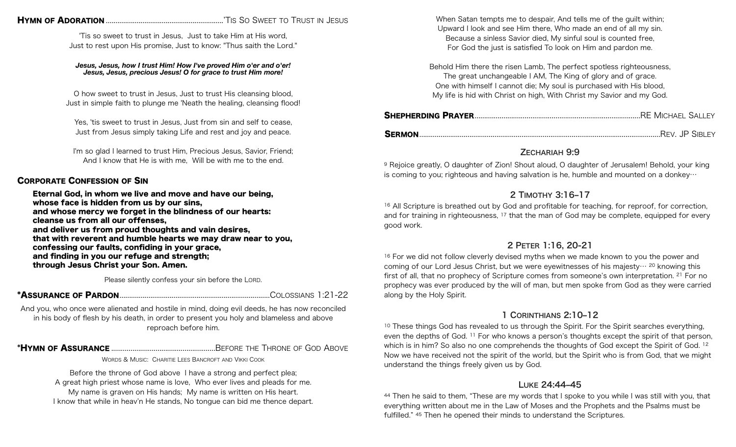#### HYMN OF ADORATION 'T ............................................................. IS SO SWEET TO TRUST IN JESUS

'Tis so sweet to trust in Jesus, Just to take Him at His word, Just to rest upon His promise, Just to know: "Thus saith the Lord."

#### *Jesus, Jesus, how I trust Him! How I've proved Him o'er and o'er! Jesus, Jesus, precious Jesus! O for grace to trust Him more!*

O how sweet to trust in Jesus, Just to trust His cleansing blood, Just in simple faith to plunge me 'Neath the healing, cleansing flood!

Yes, 'tis sweet to trust in Jesus, Just from sin and self to cease, Just from Jesus simply taking Life and rest and joy and peace.

I'm so glad I learned to trust Him, Precious Jesus, Savior, Friend; And I know that He is with me, Will be with me to the end.

#### CORPORATE CONFESSION OF SIN

Eternal God, in whom we live and move and have our being, whose face is hidden from us by our sins, and whose mercy we forget in the blindness of our hearts: cleanse us from all our offenses, and deliver us from proud thoughts and vain desires, that with reverent and humble hearts we may draw near to you, confessing our faults, confiding in your grace, and finding in you our refuge and strength; through Jesus Christ your Son. Amen.

Please silently confess your sin before the LORD.

\*ASSURANCE OF PARDON C .............................................................................. OLOSSIANS 1:21-22

And you, who once were alienated and hostile in mind, doing evil deeds, he has now reconciled in his body of flesh by his death, in order to present you holy and blameless and above reproach before him.

\*HYMN OF ASSURANCE B ...................................................... EFORE THE THRONE OF GOD ABOVE

WORDS & MUSIC: CHARITIE LEES BANCROFT AND VIKKI COOK

Before the throne of God above I have a strong and perfect plea; A great high priest whose name is love, Who ever lives and pleads for me. My name is graven on His hands; My name is written on His heart. I know that while in heav'n He stands, No tongue can bid me thence depart. When Satan tempts me to despair, And tells me of the guilt within; Upward I look and see Him there, Who made an end of all my sin. Because a sinless Savior died, My sinful soul is counted free, For God the just is satisfied To look on Him and pardon me.

Behold Him there the risen Lamb, The perfect spotless righteousness, The great unchangeable I AM, The King of glory and of grace. One with himself I cannot die; My soul is purchased with His blood, My life is hid with Christ on high, With Christ my Savior and my God.

|--|--|

SERMON R ............................................................................................................................. EV. JP SIBLEY

#### ZECHARIAH 9:9

9 Rejoice greatly, O daughter of Zion! Shout aloud, O daughter of Jerusalem! Behold, your king is coming to you; righteous and having salvation is he, humble and mounted on a donkey…

### 2 TIMOTHY 3:16‒17

<sup>16</sup> All Scripture is breathed out by God and profitable for teaching, for reproof, for correction, and for training in righteousness, <sup>17</sup> that the man of God may be complete, equipped for every good work.

#### 2 PETER 1:16, 20-21

<sup>16</sup> For we did not follow cleverly devised myths when we made known to you the power and coming of our Lord Jesus Christ, but we were eyewitnesses of his majesty $\cdots$  20 knowing this first of all, that no prophecy of Scripture comes from someone's own interpretation. <sup>21</sup> For no prophecy was ever produced by the will of man, but men spoke from God as they were carried along by the Holy Spirit.

### 1 CORINTHIANS 2:10-12

<sup>10</sup> These things God has revealed to us through the Spirit. For the Spirit searches everything, even the depths of God. <sup>11</sup> For who knows a person's thoughts except the spirit of that person, which is in him? So also no one comprehends the thoughts of God except the Spirit of God. <sup>12</sup> Now we have received not the spirit of the world, but the Spirit who is from God, that we might understand the things freely given us by God.

### LUKE 24:44-45

44 Then he said to them, "These are my words that I spoke to you while I was still with you, that everything written about me in the Law of Moses and the Prophets and the Psalms must be fulfilled." 45 Then he opened their minds to understand the Scriptures.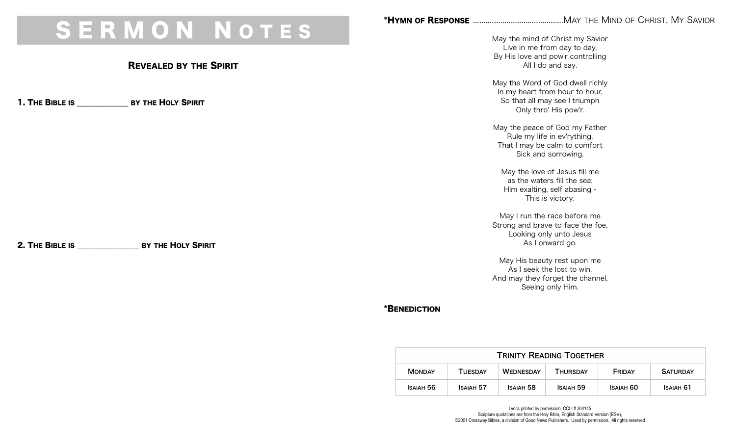| <b>SERMON NOTES</b>                   |                                   |
|---------------------------------------|-----------------------------------|
|                                       | May the mind of Christ my Savior  |
|                                       | Live in me from day to day,       |
|                                       | By His love and pow'r controlling |
| <b>REVEALED BY THE SPIRIT</b>         | All I do and say.                 |
|                                       | May the Word of God dwell richly  |
|                                       | In my heart from hour to hour,    |
| 1. THE BIBLE IS<br>BY THE HOLY SPIRIT | So that all may see I triumph     |
|                                       | Only thro' His pow'r.             |
|                                       | May the peace of God my Father    |
|                                       | Rule my life in ev'rything,       |
|                                       | That I may be calm to comfort     |
|                                       | Sick and sorrowing.               |
|                                       | May the love of Jesus fill me     |
|                                       | as the waters fill the sea;       |
|                                       | Him exalting, self abasing -      |
|                                       | This is victory.                  |
|                                       | May I run the race before me      |
|                                       | Strong and brave to face the foe, |
|                                       | Looking only unto Jesus           |
| 2. THE BIBLE IS<br>BY THE HOLY SPIRIT | As I onward go.                   |
|                                       | May His beauty rest upon me       |
|                                       | As I seek the lost to win,        |

\*BENEDICTION

| <b>TRINITY READING TOGETHER</b> |                  |                  |                  |                  |                  |
|---------------------------------|------------------|------------------|------------------|------------------|------------------|
| <b>MONDAY</b>                   | TUESDAY          | <b>WEDNESDAY</b> | <b>THURSDAY</b>  | FRIDAY           | <b>SATURDAY</b>  |
| <b>ISAIAH 56</b>                | <b>ISAIAH 57</b> | <b>ISAIAH 58</b> | <b>ISAIAH 59</b> | <b>ISAIAH 60</b> | <b>ISAIAH 61</b> |

And may they forget the channel, Seeing only Him.